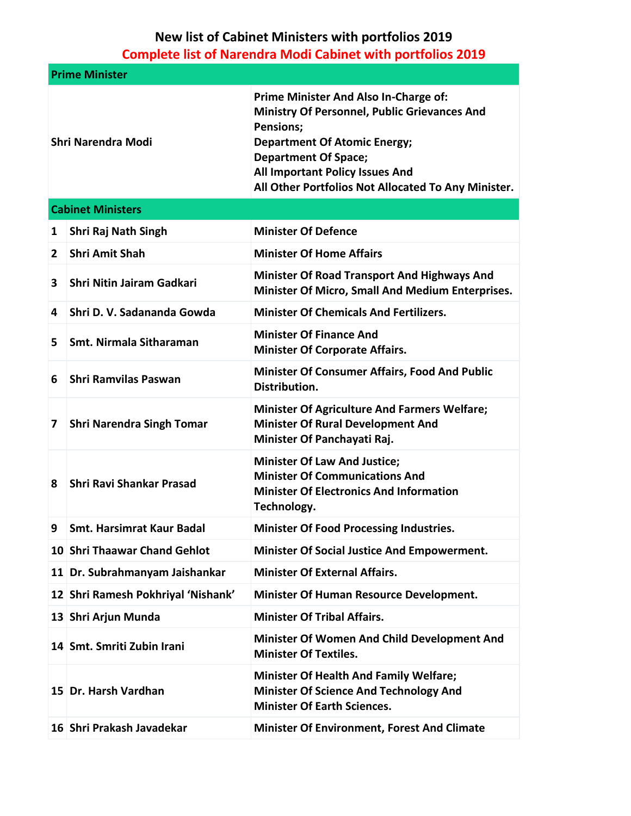## **New list of Cabinet Ministers with portfolios 2019 Complete list of Narendra Modi Cabinet with portfolios 2019**

| <b>Prime Minister</b> |                                    |                                                                                                                                                                                                                                                                                  |  |  |
|-----------------------|------------------------------------|----------------------------------------------------------------------------------------------------------------------------------------------------------------------------------------------------------------------------------------------------------------------------------|--|--|
| Shri Narendra Modi    |                                    | Prime Minister And Also In-Charge of:<br><b>Ministry Of Personnel, Public Grievances And</b><br><b>Pensions;</b><br><b>Department Of Atomic Energy;</b><br><b>Department Of Space;</b><br>All Important Policy Issues And<br>All Other Portfolios Not Allocated To Any Minister. |  |  |
|                       | <b>Cabinet Ministers</b>           |                                                                                                                                                                                                                                                                                  |  |  |
| 1                     | Shri Raj Nath Singh                | <b>Minister Of Defence</b>                                                                                                                                                                                                                                                       |  |  |
| $\mathbf{2}$          | <b>Shri Amit Shah</b>              | <b>Minister Of Home Affairs</b>                                                                                                                                                                                                                                                  |  |  |
| 3                     | Shri Nitin Jairam Gadkari          | <b>Minister Of Road Transport And Highways And</b><br><b>Minister Of Micro, Small And Medium Enterprises.</b>                                                                                                                                                                    |  |  |
| 4                     | Shri D. V. Sadananda Gowda         | <b>Minister Of Chemicals And Fertilizers.</b>                                                                                                                                                                                                                                    |  |  |
| 5.                    | Smt. Nirmala Sitharaman            | <b>Minister Of Finance And</b><br><b>Minister Of Corporate Affairs.</b>                                                                                                                                                                                                          |  |  |
| 6                     | <b>Shri Ramvilas Paswan</b>        | <b>Minister Of Consumer Affairs, Food And Public</b><br>Distribution.                                                                                                                                                                                                            |  |  |
| 7                     | <b>Shri Narendra Singh Tomar</b>   | <b>Minister Of Agriculture And Farmers Welfare;</b><br><b>Minister Of Rural Development And</b><br>Minister Of Panchayati Raj.                                                                                                                                                   |  |  |
| 8                     | <b>Shri Ravi Shankar Prasad</b>    | <b>Minister Of Law And Justice;</b><br><b>Minister Of Communications And</b><br><b>Minister Of Electronics And Information</b><br>Technology.                                                                                                                                    |  |  |
| 9                     | <b>Smt. Harsimrat Kaur Badal</b>   | <b>Minister Of Food Processing Industries.</b>                                                                                                                                                                                                                                   |  |  |
|                       | 10 Shri Thaawar Chand Gehlot       | <b>Minister Of Social Justice And Empowerment.</b>                                                                                                                                                                                                                               |  |  |
|                       | 11 Dr. Subrahmanyam Jaishankar     | <b>Minister Of External Affairs.</b>                                                                                                                                                                                                                                             |  |  |
|                       | 12 Shri Ramesh Pokhriyal 'Nishank' | <b>Minister Of Human Resource Development.</b>                                                                                                                                                                                                                                   |  |  |
|                       | 13 Shri Arjun Munda                | <b>Minister Of Tribal Affairs.</b>                                                                                                                                                                                                                                               |  |  |
|                       | 14 Smt. Smriti Zubin Irani         | <b>Minister Of Women And Child Development And</b><br><b>Minister Of Textiles.</b>                                                                                                                                                                                               |  |  |
|                       | 15 Dr. Harsh Vardhan               | <b>Minister Of Health And Family Welfare;</b><br><b>Minister Of Science And Technology And</b><br><b>Minister Of Earth Sciences.</b>                                                                                                                                             |  |  |
|                       | 16 Shri Prakash Javadekar          | <b>Minister Of Environment, Forest And Climate</b>                                                                                                                                                                                                                               |  |  |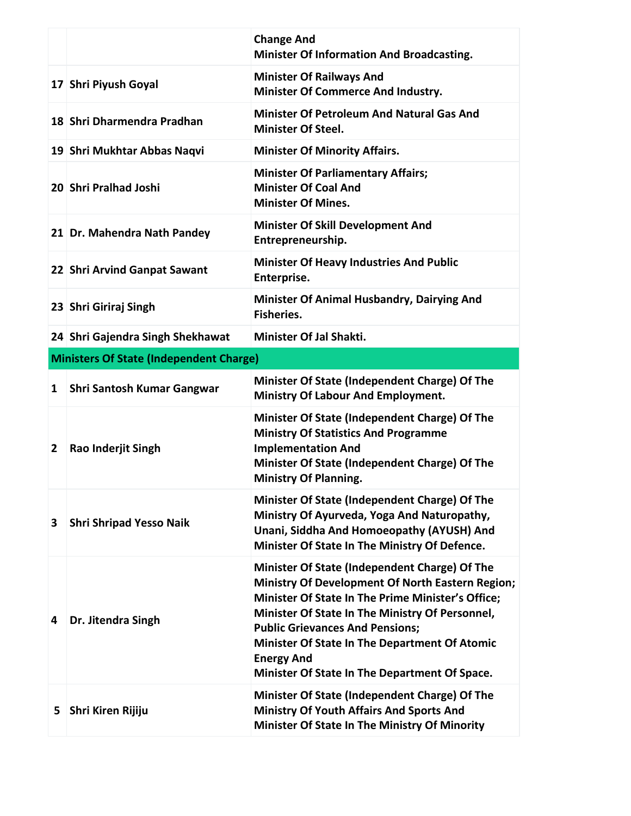|   |                                                | <b>Change And</b><br><b>Minister Of Information And Broadcasting.</b>                                                                                                                                                                                      |  |  |  |
|---|------------------------------------------------|------------------------------------------------------------------------------------------------------------------------------------------------------------------------------------------------------------------------------------------------------------|--|--|--|
|   | 17 Shri Piyush Goyal                           | <b>Minister Of Railways And</b><br><b>Minister Of Commerce And Industry.</b>                                                                                                                                                                               |  |  |  |
|   | 18 Shri Dharmendra Pradhan                     | <b>Minister Of Petroleum And Natural Gas And</b><br><b>Minister Of Steel.</b>                                                                                                                                                                              |  |  |  |
|   | 19 Shri Mukhtar Abbas Naqvi                    | <b>Minister Of Minority Affairs.</b>                                                                                                                                                                                                                       |  |  |  |
|   | 20 Shri Pralhad Joshi                          | <b>Minister Of Parliamentary Affairs;</b><br><b>Minister Of Coal And</b><br><b>Minister Of Mines.</b>                                                                                                                                                      |  |  |  |
|   | 21 Dr. Mahendra Nath Pandey                    | <b>Minister Of Skill Development And</b><br>Entrepreneurship.                                                                                                                                                                                              |  |  |  |
|   | 22 Shri Arvind Ganpat Sawant                   | <b>Minister Of Heavy Industries And Public</b><br>Enterprise.                                                                                                                                                                                              |  |  |  |
|   | 23 Shri Giriraj Singh                          | Minister Of Animal Husbandry, Dairying And<br><b>Fisheries.</b>                                                                                                                                                                                            |  |  |  |
|   | 24 Shri Gajendra Singh Shekhawat               | <b>Minister Of Jal Shakti.</b>                                                                                                                                                                                                                             |  |  |  |
|   | <b>Ministers Of State (Independent Charge)</b> |                                                                                                                                                                                                                                                            |  |  |  |
| 1 | Shri Santosh Kumar Gangwar                     | Minister Of State (Independent Charge) Of The<br>Ministry Of Labour And Employment.                                                                                                                                                                        |  |  |  |
| 2 | Rao Inderjit Singh                             | Minister Of State (Independent Charge) Of The<br><b>Ministry Of Statistics And Programme</b><br><b>Implementation And</b><br>Minister Of State (Independent Charge) Of The<br><b>Ministry Of Planning.</b>                                                 |  |  |  |
| 3 | <b>Shri Shripad Yesso Naik</b>                 | Minister Of State (Independent Charge) Of The<br>Ministry Of Ayurveda, Yoga And Naturopathy,<br>Unani, Siddha And Homoeopathy (AYUSH) And<br>Minister Of State In The Ministry Of Defence.                                                                 |  |  |  |
| 4 | Dr. Jitendra Singh                             | Minister Of State (Independent Charge) Of The<br><b>Ministry Of Development Of North Eastern Region;</b><br>Minister Of State In The Prime Minister's Office;<br>Minister Of State In The Ministry Of Personnel,<br><b>Public Grievances And Pensions;</b> |  |  |  |
|   |                                                | <b>Minister Of State In The Department Of Atomic</b><br><b>Energy And</b><br>Minister Of State In The Department Of Space.                                                                                                                                 |  |  |  |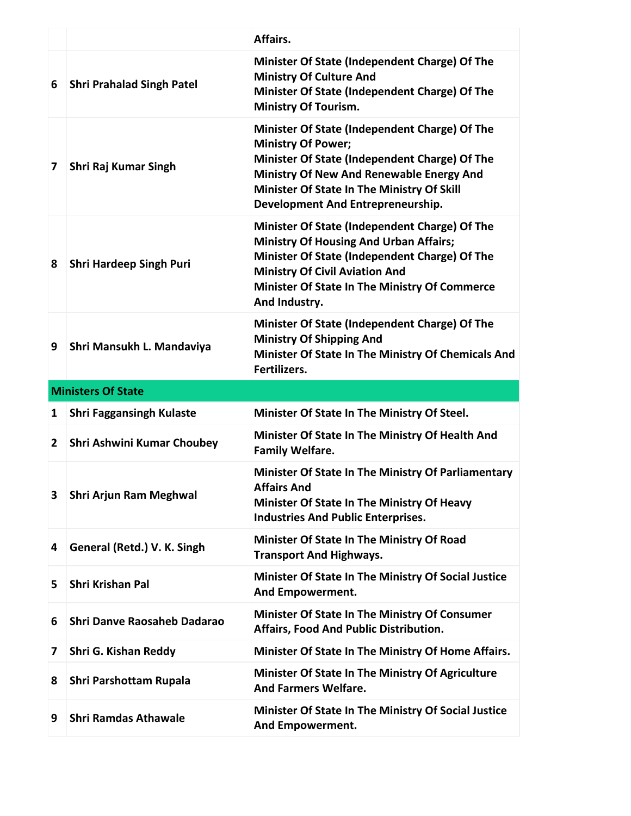|   |                                  | Affairs.                                                                                                                                                                                                                                                   |  |  |  |
|---|----------------------------------|------------------------------------------------------------------------------------------------------------------------------------------------------------------------------------------------------------------------------------------------------------|--|--|--|
| 6 | <b>Shri Prahalad Singh Patel</b> | Minister Of State (Independent Charge) Of The<br><b>Ministry Of Culture And</b><br>Minister Of State (Independent Charge) Of The<br><b>Ministry Of Tourism.</b>                                                                                            |  |  |  |
| 7 | Shri Raj Kumar Singh             | Minister Of State (Independent Charge) Of The<br><b>Ministry Of Power;</b><br>Minister Of State (Independent Charge) Of The<br>Ministry Of New And Renewable Energy And<br>Minister Of State In The Ministry Of Skill<br>Development And Entrepreneurship. |  |  |  |
| 8 | <b>Shri Hardeep Singh Puri</b>   | Minister Of State (Independent Charge) Of The<br><b>Ministry Of Housing And Urban Affairs;</b><br>Minister Of State (Independent Charge) Of The<br><b>Ministry Of Civil Aviation And</b><br>Minister Of State In The Ministry Of Commerce<br>And Industry. |  |  |  |
| 9 | Shri Mansukh L. Mandaviya        | Minister Of State (Independent Charge) Of The<br><b>Ministry Of Shipping And</b><br>Minister Of State In The Ministry Of Chemicals And<br>Fertilizers.                                                                                                     |  |  |  |
|   | <b>Ministers Of State</b>        |                                                                                                                                                                                                                                                            |  |  |  |
|   |                                  |                                                                                                                                                                                                                                                            |  |  |  |
| 1 | <b>Shri Faggansingh Kulaste</b>  | Minister Of State In The Ministry Of Steel.                                                                                                                                                                                                                |  |  |  |
| 2 | Shri Ashwini Kumar Choubey       | Minister Of State In The Ministry Of Health And<br><b>Family Welfare.</b>                                                                                                                                                                                  |  |  |  |
| 3 | <b>Shri Arjun Ram Meghwal</b>    | <b>Minister Of State In The Ministry Of Parliamentary</b><br><b>Affairs And</b><br>Minister Of State In The Ministry Of Heavy<br><b>Industries And Public Enterprises.</b>                                                                                 |  |  |  |
| 4 | General (Retd.) V. K. Singh      | Minister Of State In The Ministry Of Road<br><b>Transport And Highways.</b>                                                                                                                                                                                |  |  |  |
| 5 | <b>Shri Krishan Pal</b>          | Minister Of State In The Ministry Of Social Justice<br>And Empowerment.                                                                                                                                                                                    |  |  |  |
| 6 | Shri Danve Raosaheb Dadarao      | <b>Minister Of State In The Ministry Of Consumer</b><br>Affairs, Food And Public Distribution.                                                                                                                                                             |  |  |  |
| 7 | Shri G. Kishan Reddy             | Minister Of State In The Ministry Of Home Affairs.                                                                                                                                                                                                         |  |  |  |
| 8 | Shri Parshottam Rupala           | Minister Of State In The Ministry Of Agriculture<br><b>And Farmers Welfare.</b>                                                                                                                                                                            |  |  |  |